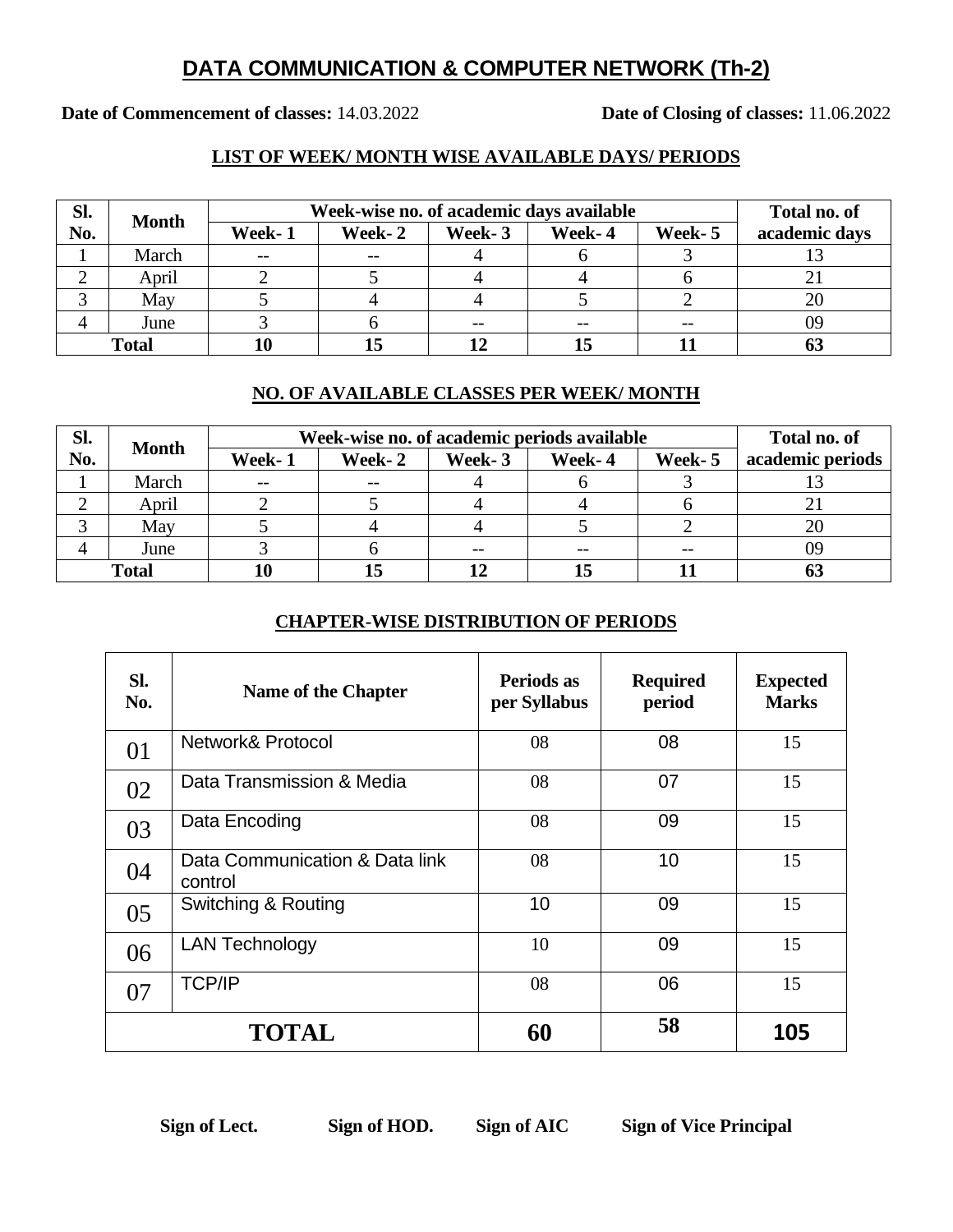## **DATA COMMUNICATION & COMPUTER NETWORK (Th-2)**

**Date of Commencement of classes:** 14.03.2022 **Date of Closing of classes:** 11.06.2022

#### **LIST OF WEEK/ MONTH WISE AVAILABLE DAYS/ PERIODS**

| Sl.          | <b>Month</b> | Week-wise no. of academic days available |        |        |        |         | Total no. of  |
|--------------|--------------|------------------------------------------|--------|--------|--------|---------|---------------|
| No.          |              | Week-1                                   | Week-2 | Week-3 | Week-4 | Week- 5 | academic days |
|              | March        | $- -$                                    |        |        |        |         |               |
|              | April        |                                          |        |        |        |         |               |
|              | May          |                                          |        |        |        |         | 20            |
|              | June         |                                          |        |        |        | $- -$   | 09            |
| <b>Total</b> |              |                                          |        |        |        |         |               |

#### **NO. OF AVAILABLE CLASSES PER WEEK/ MONTH**

| Sl.          |              | Week-wise no. of academic periods available |        |        |        |         | Total no. of     |
|--------------|--------------|---------------------------------------------|--------|--------|--------|---------|------------------|
| No.          | <b>Month</b> | Week-1                                      | Week-2 | Week-3 | Week-4 | Week- 5 | academic periods |
|              | March        | $\qquad \qquad -$                           | $- -$  |        |        |         |                  |
|              | April        |                                             |        |        |        |         |                  |
|              | May          |                                             |        |        |        |         | 20               |
|              | June         |                                             |        |        |        | $- -$   | 09               |
| <b>Total</b> |              |                                             |        |        |        |         |                  |

### **CHAPTER-WISE DISTRIBUTION OF PERIODS**

| Sl.<br>No. | <b>Name of the Chapter</b>                | Periods as<br>per Syllabus | <b>Required</b><br>period | <b>Expected</b><br><b>Marks</b> |
|------------|-------------------------------------------|----------------------------|---------------------------|---------------------------------|
| 01         | Network& Protocol                         | 08                         | 08                        | 15                              |
| 02         | Data Transmission & Media                 | 08                         | 07                        | 15                              |
| 03         | Data Encoding                             | 08                         | 09                        | 15                              |
| 04         | Data Communication & Data link<br>control | 08                         | 10                        | 15                              |
| 05         | Switching & Routing                       | 10                         | 09                        | 15                              |
| 06         | <b>LAN Technology</b>                     | 10                         | 09                        | 15                              |
| 07         | <b>TCP/IP</b>                             | 08                         | 06                        | 15                              |
|            | <b>TOTAL</b>                              | 60                         | 58                        | 105                             |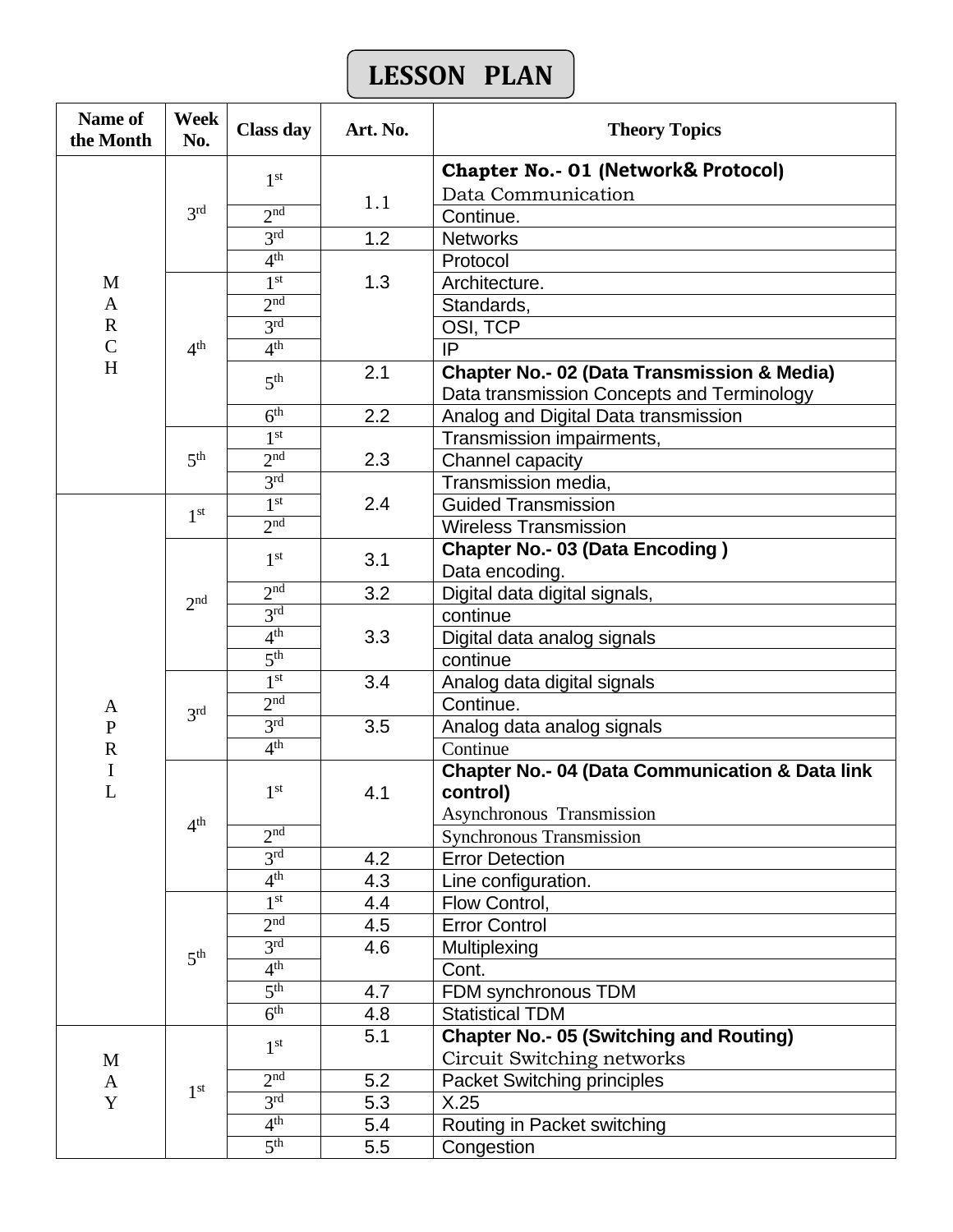# **LESSON PLAN**

| <b>Name of</b><br>the Month | Week<br>No.     | <b>Class day</b>    | Art. No. | <b>Theory Topics</b>                                                                                 |  |  |
|-----------------------------|-----------------|---------------------|----------|------------------------------------------------------------------------------------------------------|--|--|
|                             |                 | 1 <sup>st</sup>     |          | <b>Chapter No.- 01 (Network&amp; Protocol)</b>                                                       |  |  |
|                             |                 |                     | 1.1      | Data Communication                                                                                   |  |  |
|                             | 3 <sup>rd</sup> | 2 <sub>nd</sub>     |          | Continue.                                                                                            |  |  |
|                             |                 | 3 <sup>rd</sup>     | 1.2      | <b>Networks</b>                                                                                      |  |  |
|                             |                 | 4 <sup>th</sup>     |          | Protocol                                                                                             |  |  |
| M                           |                 | 1 <sup>st</sup>     | 1.3      | Architecture.                                                                                        |  |  |
| A                           |                 | 2 <sup>nd</sup>     |          | Standards,                                                                                           |  |  |
| $\mathbf R$                 |                 | 3 <sup>rd</sup>     |          | OSI, TCP                                                                                             |  |  |
| $\mathsf{C}$                | 4 <sup>th</sup> | 4 <sup>th</sup>     |          | IP                                                                                                   |  |  |
| H                           |                 | 5 <sup>th</sup>     | 2.1      | <b>Chapter No.- 02 (Data Transmission &amp; Media)</b><br>Data transmission Concepts and Terminology |  |  |
|                             |                 | 6 <sup>th</sup>     | 2.2      | Analog and Digital Data transmission                                                                 |  |  |
|                             |                 | 1 <sup>st</sup>     |          | Transmission impairments,                                                                            |  |  |
|                             | 5 <sup>th</sup> | $2n$ d              | 2.3      | Channel capacity                                                                                     |  |  |
|                             |                 | 3 <sup>rd</sup>     |          | Transmission media,                                                                                  |  |  |
|                             | 1 <sup>st</sup> | 1 <sup>st</sup>     | 2.4      | <b>Guided Transmission</b>                                                                           |  |  |
|                             |                 | 2 <sub>nd</sub>     |          | <b>Wireless Transmission</b>                                                                         |  |  |
|                             |                 | 1 <sup>st</sup>     | 3.1      | <b>Chapter No.- 03 (Data Encoding)</b><br>Data encoding.                                             |  |  |
|                             | 2 <sup>nd</sup> | 2 <sup>nd</sup>     | 3.2      | Digital data digital signals,                                                                        |  |  |
|                             |                 | 3 <sup>rd</sup>     | 3.3      | continue                                                                                             |  |  |
|                             |                 | 4 <sup>th</sup>     |          | Digital data analog signals                                                                          |  |  |
|                             |                 | $\overline{5^{th}}$ |          | continue                                                                                             |  |  |
|                             | 3 <sup>rd</sup> | 1 <sup>st</sup>     | 3.4      | Analog data digital signals                                                                          |  |  |
| A                           |                 | 2nd                 |          | Continue.                                                                                            |  |  |
| $\mathbf{P}$                |                 | 3 <sup>rd</sup>     | 3.5      | Analog data analog signals                                                                           |  |  |
| $\mathbf R$                 |                 | 4 <sup>th</sup>     |          | Continue                                                                                             |  |  |
| L                           |                 | 1 <sup>st</sup>     | 4.1      | <b>Chapter No.- 04 (Data Communication &amp; Data link</b><br>control)<br>Asynchronous Transmission  |  |  |
|                             | 4 <sup>th</sup> | 2 <sup>nd</sup>     |          | <b>Synchronous Transmission</b>                                                                      |  |  |
|                             |                 | 3 <sup>rd</sup>     | 4.2      | <b>Error Detection</b>                                                                               |  |  |
|                             |                 | 4 <sup>th</sup>     | 4.3      | Line configuration.                                                                                  |  |  |
|                             |                 | 1 <sup>st</sup>     | 4.4      | Flow Control,                                                                                        |  |  |
|                             |                 | 2 <sup>nd</sup>     | 4.5      | <b>Error Control</b>                                                                                 |  |  |
|                             |                 | 3 <sup>rd</sup>     | 4.6      | Multiplexing                                                                                         |  |  |
|                             | 5 <sup>th</sup> | 4 <sup>th</sup>     |          | Cont.                                                                                                |  |  |
|                             |                 | 5 <sup>th</sup>     | 4.7      | FDM synchronous TDM                                                                                  |  |  |
|                             |                 | 6 <sup>th</sup>     | 4.8      | <b>Statistical TDM</b>                                                                               |  |  |
|                             |                 | 1 <sup>st</sup>     | 5.1      | <b>Chapter No.- 05 (Switching and Routing)</b>                                                       |  |  |
| M                           |                 | 2 <sup>nd</sup>     |          | Circuit Switching networks                                                                           |  |  |
| A<br>Y                      | 1 <sup>st</sup> | 3 <sup>rd</sup>     | 5.2      | <b>Packet Switching principles</b>                                                                   |  |  |
|                             |                 | 4 <sup>th</sup>     | 5.3      | X.25                                                                                                 |  |  |
|                             |                 | 5 <sup>th</sup>     | 5.4      | Routing in Packet switching                                                                          |  |  |
|                             |                 |                     | 5.5      | Congestion                                                                                           |  |  |